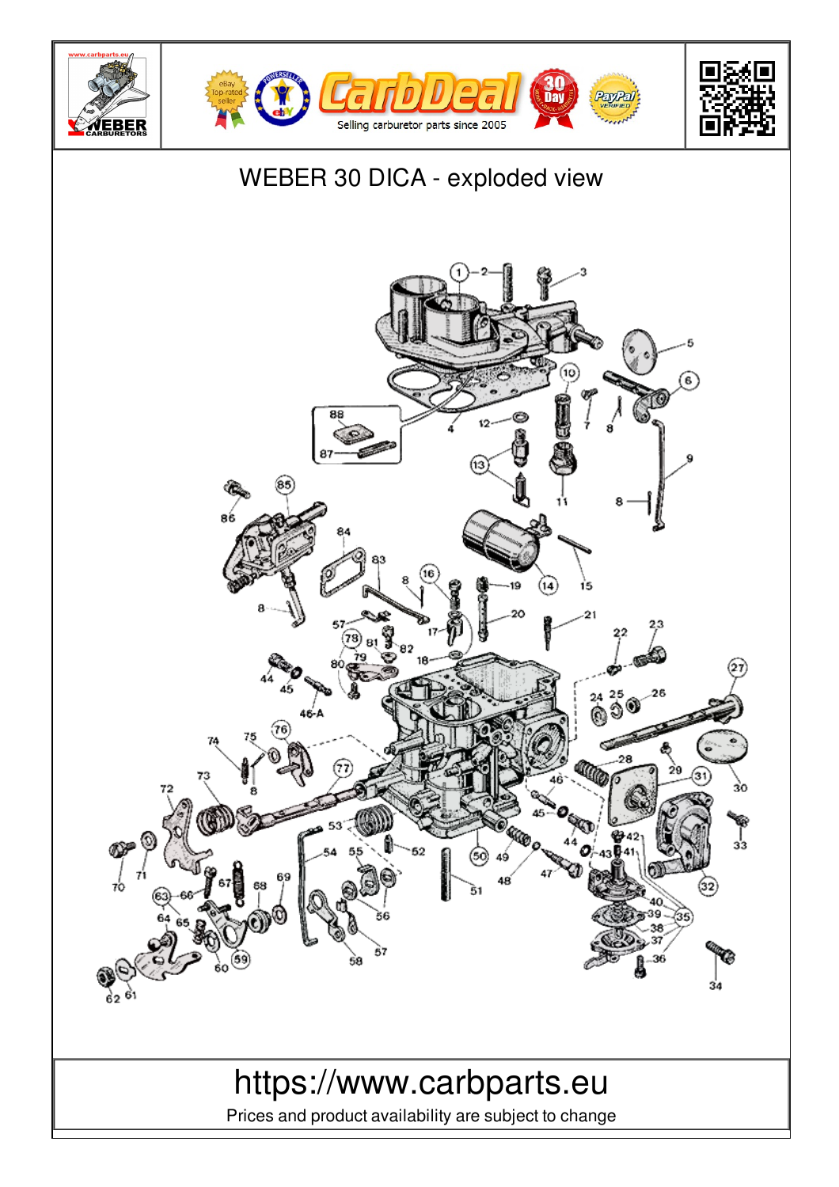